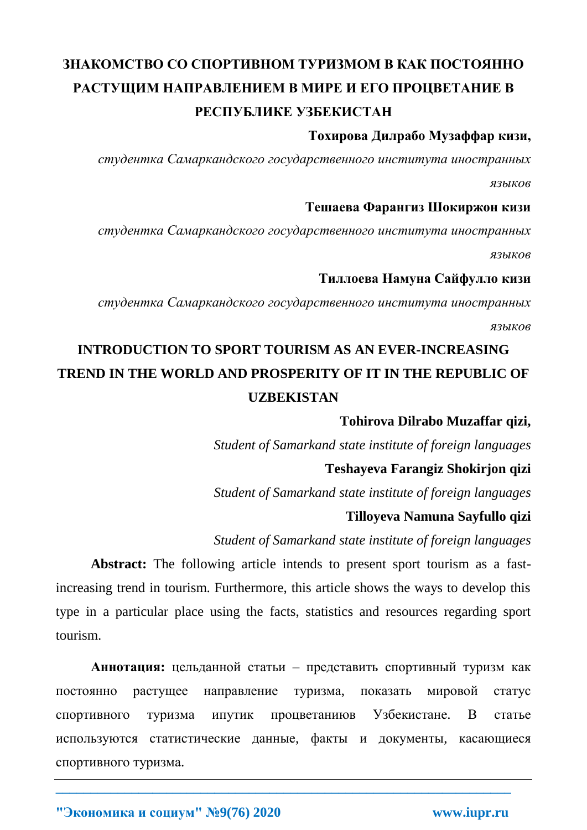# **ЗНАКОМСТВО СО СПОРТИВНОМ ТУРИЗМОМ В КАК ПОСТОЯННО РАСТУЩИМ НАПРАВЛЕНИЕМ В МИРЕ И ЕГО ПРОЦВЕТАНИЕ В РЕСПУБЛИКЕ УЗБЕКИСТАН**

### **Тохирова Дилрабо Музаффар кизи,**

*студентка Самаркандского государственного института иностранных языков* 

### **Тешаева Фарангиз Шокиржон кизи**

*студентка Самаркандского государственного института иностранных языков* 

### **Тиллоева Намуна Сайфулло кизи**

*студентка Самаркандского государственного института иностранных языков*

## **INTRODUCTION TO SPORT TOURISM AS AN EVER-INCREASING TREND IN THE WORLD AND PROSPERITY OF IT IN THE REPUBLIC OF UZBEKISTAN**

### **Tohirova Dilrabo Muzaffar qizi,**

*Student of Samarkand state institute of foreign languages*

### **Teshayeva Farangiz Shokirjon qizi**

*Student of Samarkand state institute of foreign languages*

### **Tilloyeva Namuna Sayfullo qizi**

*Student of Samarkand state institute of foreign languages*

**Abstract:** The following article intends to present sport tourism as a fastincreasing trend in tourism. Furthermore, this article shows the ways to develop this type in a particular place using the facts, statistics and resources regarding sport tourism.

**Аннотация:** цельданной статьи – представить спортивный туризм как постоянно растущее направление туризма, показать мировой статус спортивного туризма ипутик процветаниюв Узбекистане. В статье используются статистические данные, факты и документы, касающиеся спортивного туризма.

**\_\_\_\_\_\_\_\_\_\_\_\_\_\_\_\_\_\_\_\_\_\_\_\_\_\_\_\_\_\_\_\_\_\_\_\_\_\_\_\_\_\_\_\_\_\_\_\_\_\_\_\_\_\_\_\_\_\_\_\_\_\_\_\_\_\_**

**"Экономика и социум" №9(76) 2020 www.iupr.ru**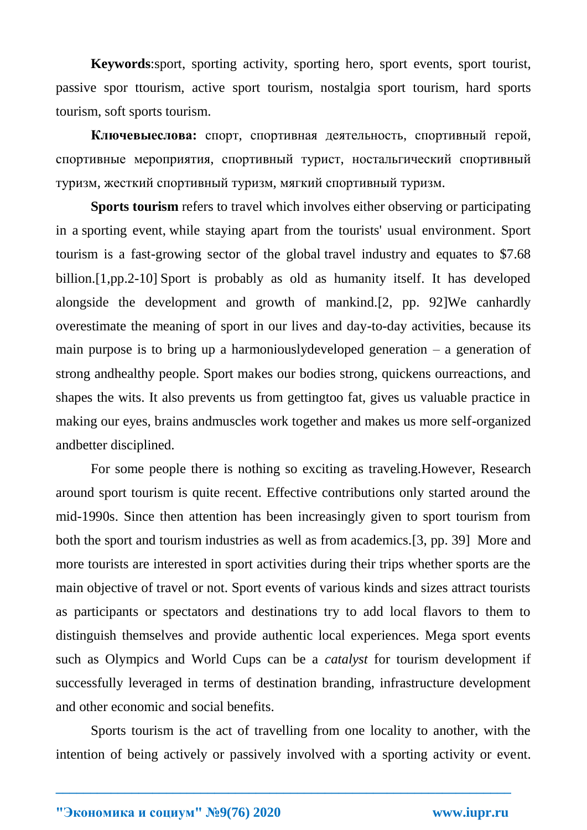**Keywords**:sport, sporting activity, sporting hero, sport events, sport tourist, passive spor ttourism, active sport tourism, nostalgia sport tourism, hard sports tourism, soft sports tourism.

**Ключевыеслова:** спорт, спортивная деятельность, спортивный герой, спортивные мероприятия, спортивный турист, ностальгический спортивный туризм, жесткий спортивный туризм, мягкий спортивный туризм.

**Sports tourism** refers to [travel](https://en.wikipedia.org/wiki/Travel) which involves either observing or participating in a [sporting event,](https://en.wikipedia.org/wiki/Sporting_event) while staying apart from the tourists' usual environment. Sport tourism is a fast-growing sector of the global [travel industry](https://en.wikipedia.org/wiki/Tourism) and equates to \$7.68 billion.[1,pp.2-10] Sport is probably as old as humanity itself. It has developed alongside the development and growth of mankind.[2, pp. 92]We canhardly overestimate the meaning of sport in our lives and day-to-day activities, because its main purpose is to bring up a harmoniouslydeveloped generation – a generation of strong andhealthy people. Sport makes our bodies strong, quickens ourreactions, and shapes the wits. It also prevents us from gettingtoo fat, gives us valuable practice in making our eyes, brains andmuscles work together and makes us more self-organized andbetter disciplined.

For some people there is nothing so exciting as traveling.However, Research around sport tourism is quite recent. Effective contributions only started around the mid-1990s. Since then attention has been increasingly given to sport tourism from both the sport and tourism industries as well as from academics.[3, pp. 39] More and more tourists are interested in sport activities during their trips whether sports are the main objective of travel or not. Sport events of various kinds and sizes attract tourists as participants or spectators and destinations try to add local flavors to them to distinguish themselves and provide authentic local experiences. Mega sport events such as Olympics and World Cups can be a *catalyst* for tourism development if successfully leveraged in terms of destination branding, infrastructure development and other economic and social benefits.

Sports tourism is the act of travelling from one locality to another, with the intention of being actively or passively involved with a sporting activity or event.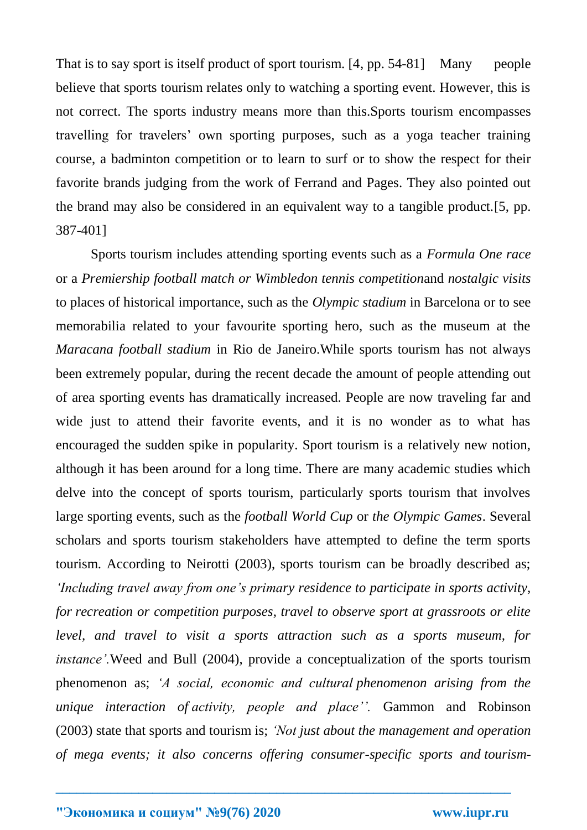That is to say sport is itself product of sport tourism. [4, pp. 54-81] Many people believe that sports tourism relates only to watching a sporting event. However, this is not correct. The sports industry means more than this.Sports tourism encompasses travelling for travelers' own sporting purposes, such as a yoga teacher training course, a badminton competition or to learn to surf or to show the respect for their favorite brands judging from the work of Ferrand and Pages. They also pointed out the brand may also be considered in an equivalent way to a tangible product.[5, pp. 387-401]

Sports tourism includes attending sporting events such as a *Formula One race* or a *Premiership football match or Wimbledon tennis competition*and *nostalgic visits* to places of historical importance, such as the *Olympic stadium* in Barcelona or to see memorabilia related to your favourite sporting hero, such as the museum at the *Maracana football stadium* in Rio de Janeiro.While sports tourism has not always been extremely popular, during the recent decade the amount of people attending out of area sporting events has dramatically increased. People are now traveling far and wide just to attend their favorite events, and it is no wonder as to what has encouraged the sudden spike in popularity. Sport tourism is a relatively new notion, although it has been around for a long time. There are many academic studies which delve into the concept of sports tourism, particularly sports tourism that involves large sporting events, such as the *football World Cup* or *the Olympic Games*. Several scholars and sports tourism stakeholders have attempted to define the term sports tourism. According to Neirotti (2003), sports tourism can be broadly described as; *'Including travel away from one's primary residence to participate in sports activity, for recreation or competition purposes, travel to observe sport at grassroots or elite level, and travel to visit a sports attraction such as a sports museum, for instance'.*Weed and Bull (2004), provide a conceptualization of the sports tourism phenomenon as; *'A social, economic and cultural phenomenon arising from the unique interaction of activity, people and place''.* Gammon and Robinson (2003) state that sports and tourism is; *'Not just about the management and operation of mega events; it also concerns offering consumer-specific sports and tourism-*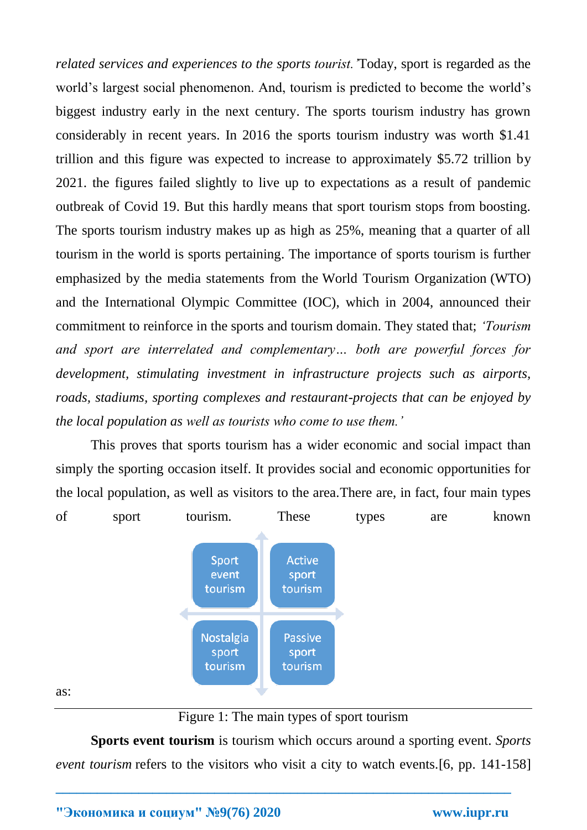*related services and experiences to the sports tourist.'*Today, sport is regarded as the world's largest social phenomenon. And, tourism is predicted to become the world's biggest industry early in the next century. The sports tourism industry has grown considerably in recent years. In 2016 the sports tourism industry was worth \$1.41 trillion and this figure was expected to increase to approximately \$5.72 trillion by 2021. the figures failed slightly to live up to expectations as a result of pandemic outbreak of Covid 19. But this hardly means that sport tourism stops from boosting. The sports tourism industry makes up as high as 25%, meaning that a quarter of all tourism in the world is sports pertaining. The importance of sports tourism is further emphasized by the media statements from the [World Tourism Organization](https://www.lifeasabutterfly.com/world-tourism-organisation/) (WTO) and the International Olympic Committee (IOC), which in 2004, announced their commitment to reinforce in the sports and tourism domain. They stated that; *'Tourism and sport are interrelated and complementary… both are powerful forces for development, stimulating investment in infrastructure projects such as airports, roads, stadiums, sporting complexes and restaurant-projects that can be enjoyed by the local population as well as tourists who come to use them.'*

This proves that sports tourism has a wider economic and social impact than simply the sporting occasion itself. It provides social and economic opportunities for the local population, as well as visitors to the area.There are, in fact, four main types of sport tourism. These types are known



as:

Figure 1: The main types of sport tourism

**Sports event tourism** is tourism which occurs around a sporting event. *Sports event tourism* refers to the visitors who visit a city to watch events. [6, pp. 141-158]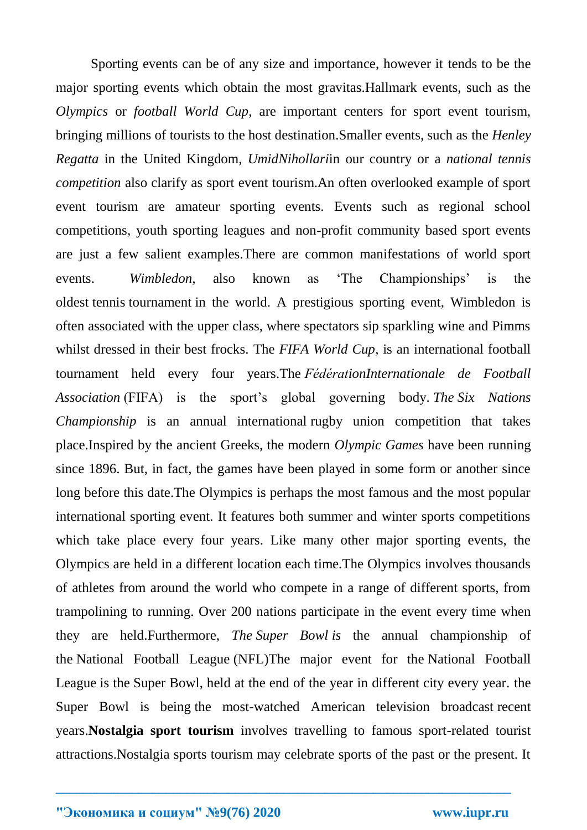Sporting events can be of any size and importance, however it tends to be the major sporting events which obtain the most gravitas.Hallmark events, such as the *Olympics* or *football World Cup*, are important centers for sport event tourism, bringing millions of tourists to the host destination.Smaller events, such as the *Henley Regatta* in the United Kingdom, *UmidNihollari*in our country or a *national tennis competition* also clarify as sport event tourism.An often overlooked example of sport event tourism are amateur sporting events. Events such as regional school competitions, youth sporting leagues and non-profit community based sport events are just a few salient examples.There are common manifestations of world sport events. *Wimbledon*, also known as 'The Championships' is the oldest tennis tournament in the world. A prestigious sporting event, Wimbledon is often associated with the upper class, where spectators sip sparkling wine and Pimms whilst dressed in their best frocks. The *FIFA World Cup*, is an international football tournament held every four years.The *FédérationInternationale de Football Association* (FIFA) is the sport's global governing body. *The Six Nations Championship* is an annual international rugby union competition that takes place.Inspired by the ancient Greeks, the modern *Olympic Games* have been running since 1896. But, in fact, the games have been played in some form or another since long before this date.The Olympics is perhaps the most famous and the most popular international sporting event. It features both summer and winter sports competitions which take place every four years. Like many other major sporting events, the Olympics are held in a different location each time.The Olympics involves thousands of athletes from around the world who compete in a range of different sports, from trampolining to running. Over 200 nations participate in the event every time when they are held.Furthermore, *The Super Bowl is* the annual championship of the National Football League (NFL)The major event for the [National Football](https://en.wikipedia.org/wiki/National_Football_League)  [League](https://en.wikipedia.org/wiki/National_Football_League) is the [Super Bowl,](https://en.wikipedia.org/wiki/Super_Bowl) held at the end of the year in different city every year. the Super Bowl is being the most-watched American television broadcast recent years.**Nostalgia sport tourism** involves travelling to famous sport-related tourist attractions.Nostalgia sports tourism may celebrate sports of the past or the present. It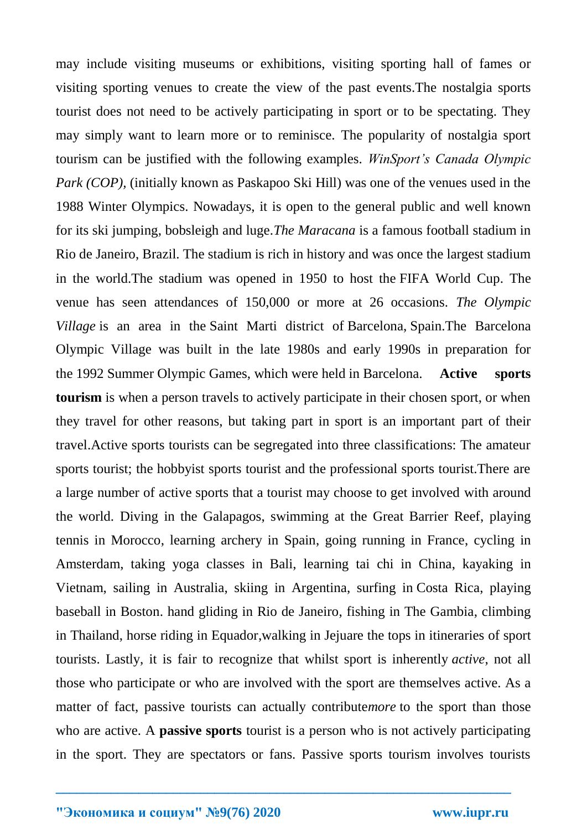may include visiting museums or exhibitions, visiting sporting hall of fames or visiting sporting venues to create the view of the past events.The nostalgia sports tourist does not need to be actively participating in sport or to be spectating. They may simply want to learn more or to reminisce. The popularity of nostalgia sport tourism can be justified with the following examples. *WinSport's Canada Olympic Park (COP),* (initially known as Paskapoo Ski Hill) was one of the venues used in the 1988 Winter Olympics. Nowadays, it is open to the general public and well known for its ski jumping, bobsleigh and luge.*The Maracana* is a famous football stadium in Rio de Janeiro, Brazil. The stadium is rich in history and was once the largest stadium in the world.The stadium was opened in 1950 to host the FIFA World Cup. The venue has seen attendances of 150,000 or more at 26 occasions. *The Olympic Village* is an area in the Saint Marti district of Barcelona, Spain.The Barcelona Olympic Village was built in the late 1980s and early 1990s in preparation for the 1992 Summer Olympic Games, which were held in Barcelona. **Active sports tourism** is when a person travels to actively participate in their chosen sport, or when they travel for other reasons, but taking part in sport is an important part of their travel.Active sports tourists can be segregated into three classifications: The amateur sports tourist; the hobbyist sports tourist and the professional sports tourist.There are a large number of active sports that a tourist may choose to get involved with around the world. Diving in the Galapagos, swimming at the Great Barrier Reef, playing tennis in Morocco, learning archery in Spain, going running in France, cycling in Amsterdam, taking yoga classes in Bali, learning tai chi in China, kayaking in Vietnam, sailing in Australia, skiing in Argentina, surfing in [Costa Rica,](https://www.tourismteacher.com/costa-rica-baby/) playing baseball in Boston. hand gliding in Rio de Janeiro, fishing in The Gambia, climbing in Thailand, horse riding in Equador,walking in Jejuare the tops in itineraries of sport tourists. Lastly, it is fair to recognize that whilst sport is inherently *active*, not all those who participate or who are involved with the sport are themselves active. As a matter of fact, passive tourists can actually contribute*more* to the sport than those who are active. A **passive sports** tourist is a person who is not actively participating in the sport. They are spectators or fans. Passive sports tourism involves tourists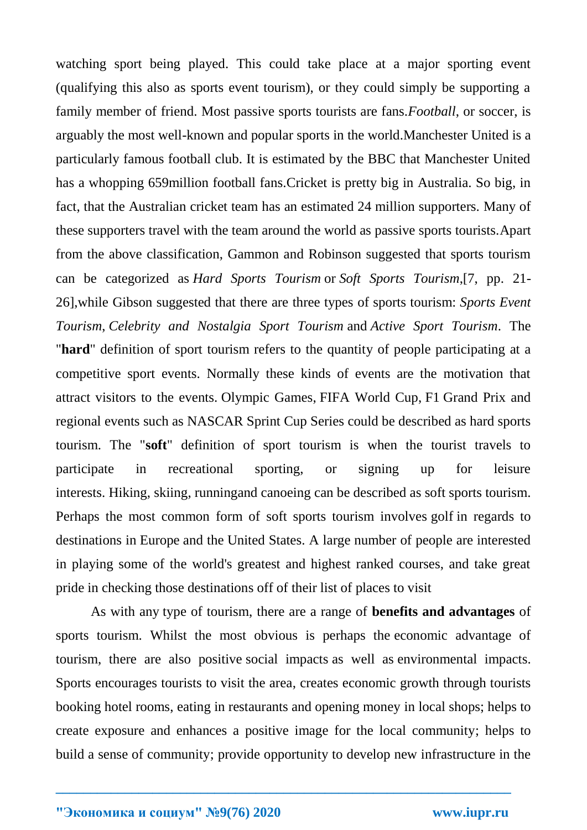watching sport being played. This could take place at a major sporting event (qualifying this also as sports event tourism), or they could simply be supporting a family member of friend. Most passive sports tourists are fans.*Football*, or soccer, is arguably the most well-known and popular sports in the world.Manchester United is a particularly famous football club. It is estimated by the BBC that Manchester United has a whopping 659million football fans.Cricket is pretty big in Australia. So big, in fact, that the Australian cricket team has an estimated 24 million supporters. Many of these supporters travel with the team around the world as passive sports tourists.Apart from the above classification, Gammon and Robinson suggested that sports tourism can be categorized as *Hard Sports Tourism* or *Soft Sports Tourism*,[7, pp. 21- 26],while Gibson suggested that there are three types of sports tourism: *Sports Event Tourism*, *Celebrity and Nostalgia Sport Tourism* and *Active Sport Tourism*. The "**hard**" definition of sport tourism refers to the quantity of people participating at a competitive sport events. Normally these kinds of events are the motivation that attract visitors to the events. [Olympic Games,](https://en.wikipedia.org/wiki/Olympic_Games) [FIFA World Cup,](https://en.wikipedia.org/wiki/FIFA_World_Cup) [F1](https://en.wikipedia.org/wiki/Formula_1) Grand Prix and regional events such as [NASCAR](https://en.wikipedia.org/wiki/NASCAR) Sprint Cup Series could be described as hard sports tourism. The "**soft**" definition of sport tourism is when the tourist travels to participate in recreational sporting, or signing up for leisure interests. [Hiking,](https://en.wikipedia.org/wiki/Hiking) [skiing,](https://en.wikipedia.org/wiki/Skiing) [runninga](https://en.wikipedia.org/wiki/Running)nd [canoeing](https://en.wikipedia.org/wiki/Canoeing) can be described as soft sports tourism. Perhaps the most common form of soft sports tourism involves [golf](https://en.wikipedia.org/wiki/Golf) in regards to destinations in [Europe](https://en.wikipedia.org/wiki/Europe) and the [United States.](https://en.wikipedia.org/wiki/United_States) A large number of people are interested in playing some of the world's greatest and highest ranked courses, and take great pride in checking those destinations off of their list of places to visit

As with any [type of tourism,](https://www.tourismteacher.com/types-of-tourism-glossary/) there are a range of **benefits and advantages** of sports tourism. Whilst the most obvious is perhaps the [economic advantage of](https://www.tourismteacher.com/economic-impacts-of-tourism/)  [tourism,](https://www.tourismteacher.com/economic-impacts-of-tourism/) there are also positive [social impacts](https://www.tourismteacher.com/social-impacts-of-tourism/) as well as [environmental impacts.](https://www.tourismteacher.com/environmental-impacts-of-tourism/) Sports encourages tourists to visit the area, creates economic growth through tourists booking hotel rooms, eating in restaurants and opening money in local shops; helps to create exposure and enhances a positive image for the local community; helps to build a sense of community; provide opportunity to develop new infrastructure in the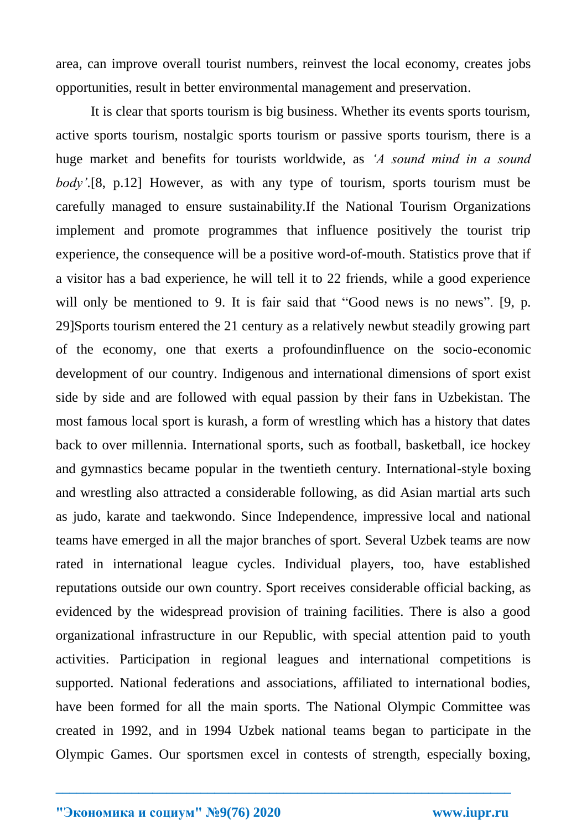area, can improve overall tourist numbers, reinvest the local economy, creates jobs opportunities, result in better environmental management and preservation.

It is clear that sports tourism is big business. Whether its events sports tourism, active sports tourism, nostalgic sports tourism or passive sports tourism, there is a huge market and benefits for tourists worldwide, as *'A sound mind in a sound body'.*[8, p.12] However, as with any type of tourism, sports tourism must be carefully managed to ensure sustainability.If the National Tourism Organizations implement and promote programmes that influence positively the tourist trip experience, the consequence will be a positive word-of-mouth. Statistics prove that if a visitor has a bad experience, he will tell it to 22 friends, while a good experience will only be mentioned to 9. It is fair said that "Good news is no news". [9, p. 29]Sports tourism entered the 21 century as a relatively newbut steadily growing part of the economy, one that exerts a profoundinfluence on the socio-economic development of our country. Indigenous and international dimensions of sport exist side by side and are followed with equal passion by their fans in Uzbekistan. The most famous local sport is kurash, a form of wrestling which has a history that dates back to over millennia. International sports, such as football, basketball, ice hockey and gymnastics became popular in the twentieth century. International-style boxing and wrestling also attracted a considerable following, as did Asian martial arts such as judo, karate and taekwondo. Since Independence, impressive local and national teams have emerged in all the major branches of sport. Several Uzbek teams are now rated in international league cycles. Individual players, too, have established reputations outside our own country. Sport receives considerable official backing, as evidenced by the widespread provision of training facilities. There is also a good organizational infrastructure in our Republic, with special attention paid to youth activities. Participation in regional leagues and international competitions is supported. National federations and associations, affiliated to international bodies, have been formed for all the main sports. The National Olympic Committee was created in 1992, and in 1994 Uzbek national teams began to participate in the Olympic Games. Our sportsmen excel in contests of strength, especially boxing,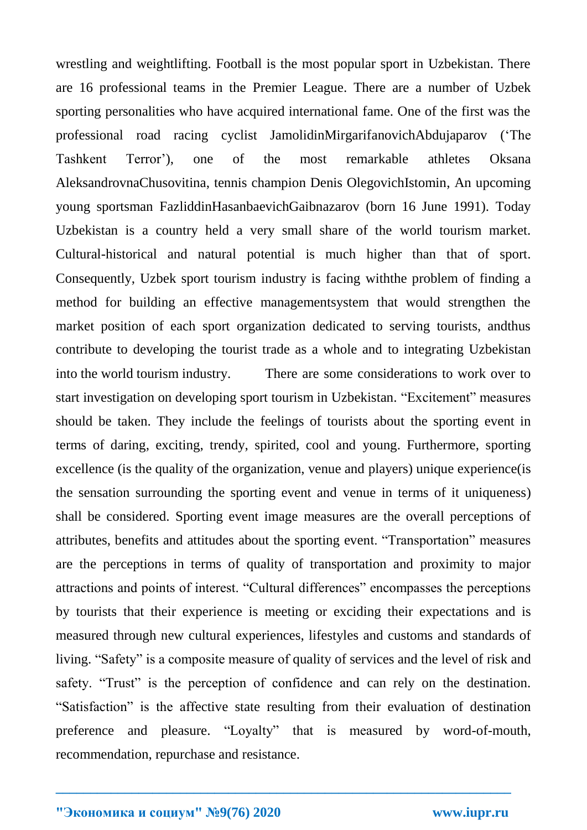wrestling and weightlifting. Football is the most popular sport in Uzbekistan. There are 16 professional teams in the Premier League. There are a number of Uzbek sporting personalities who have acquired international fame. One of the first was the professional road racing cyclist JamolidinMirgarifanovichAbdujaparov ('The Tashkent Terror'), one of the most remarkable athletes Oksana AleksandrovnaChusovitina, tennis champion Denis OlegovichIstomin, An upcoming young sportsman FazliddinHasanbaevichGaibnazarov (born 16 June 1991). Today Uzbekistan is a country held a very small share of the world tourism market. Cultural-historical and natural potential is much higher than that of sport. Consequently, Uzbek sport tourism industry is facing withthe problem of finding a method for building an effective managementsystem that would strengthen the market position of each sport organization dedicated to serving tourists, andthus contribute to developing the tourist trade as a whole and to integrating Uzbekistan into the world tourism industry. There are some considerations to work over to start investigation on developing sport tourism in Uzbekistan. "Excitement" measures should be taken. They include the feelings of tourists about the sporting event in terms of daring, exciting, trendy, spirited, cool and young. Furthermore, sporting excellence (is the quality of the organization, venue and players) unique experience(is the sensation surrounding the sporting event and venue in terms of it uniqueness) shall be considered. Sporting event image measures are the overall perceptions of attributes, benefits and attitudes about the sporting event. "Transportation" measures are the perceptions in terms of quality of transportation and proximity to major attractions and points of interest. "Cultural differences" encompasses the perceptions by tourists that their experience is meeting or exciding their expectations and is measured through new cultural experiences, lifestyles and customs and standards of living. "Safety" is a composite measure of quality of services and the level of risk and safety. "Trust" is the perception of confidence and can rely on the destination. "Satisfaction" is the affective state resulting from their evaluation of destination preference and pleasure. "Loyalty" that is measured by word-of-mouth, recommendation, repurchase and resistance.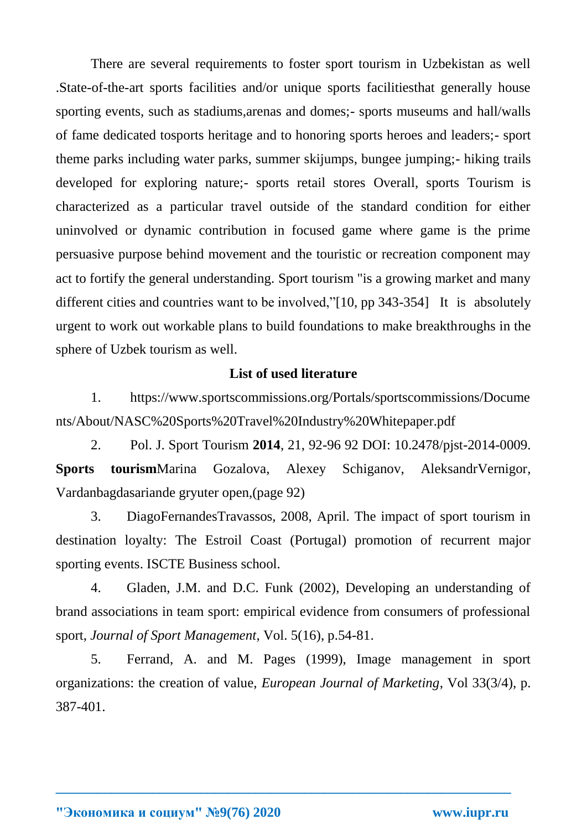There are several requirements to foster sport tourism in Uzbekistan as well .State-of-the-art sports facilities and/or unique sports facilitiesthat generally house sporting events, such as stadiums,arenas and domes;- sports museums and hall/walls of fame dedicated tosports heritage and to honoring sports heroes and leaders;- sport theme parks including water parks, summer skijumps, bungee jumping;- hiking trails developed for exploring nature;- sports retail stores Overall, sports Tourism is characterized as a particular travel outside of the standard condition for either uninvolved or dynamic contribution in focused game where game is the prime persuasive purpose behind movement and the touristic or recreation component may act to fortify the general understanding. Sport tourism "is a growing market and many different cities and countries want to be involved,"[10, pp 343-354] It is absolutely urgent to work out workable plans to build foundations to make breakthroughs in the sphere of Uzbek tourism as well.

### **List of used literature**

1. [https://www.sportscommissions.org/Portals/sportscommissions/Docume](https://www.sportscommissions.org/Portals/sportscommissions/Documents/About/NASC%20Sports%20Travel%20Industry%20Whitepaper.pdf) [nts/About/NASC%20Sports%20Travel%20Industry%20Whitepaper.pdf](https://www.sportscommissions.org/Portals/sportscommissions/Documents/About/NASC%20Sports%20Travel%20Industry%20Whitepaper.pdf)

2. Pol. J. Sport Tourism **2014**, 21, 92-96 92 DOI: 10.2478/pjst-2014-0009. **Sports tourism**Marina Gozalova, Alexey Schiganov, AleksandrVernigor, Vardanbagdasariande gryuter open,(page 92)

3. DiagoFernandesTravassos, 2008, April. The impact of sport tourism in destination loyalty: The Estroil Coast (Portugal) promotion of recurrent major sporting events. ISCTE Business school.

4. Gladen, J.M. and D.C. Funk (2002), Developing an understanding of brand associations in team sport: empirical evidence from consumers of professional sport, *Journal of Sport Management*, Vol. 5(16), p.54-81.

5. Ferrand, A. and M. Pages (1999), Image management in sport organizations: the creation of value, *European Journal of Marketing*, Vol 33(3/4), p. 387-401.